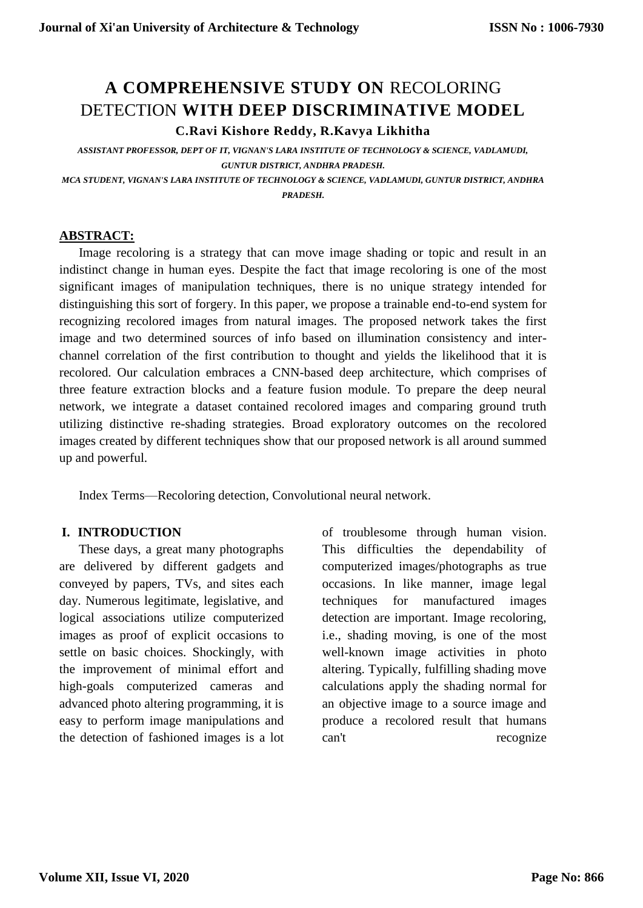# **A COMPREHENSIVE STUDY ON** RECOLORING DETECTION **WITH DEEP DISCRIMINATIVE MODEL C.Ravi Kishore Reddy, R.Kavya Likhitha**

*ASSISTANT PROFESSOR, DEPT OF IT, VIGNAN'S LARA INSTITUTE OF TECHNOLOGY & SCIENCE, VADLAMUDI, GUNTUR DISTRICT, ANDHRA PRADESH.*

*MCA STUDENT, VIGNAN'S LARA INSTITUTE OF TECHNOLOGY & SCIENCE, VADLAMUDI, GUNTUR DISTRICT, ANDHRA PRADESH.*

#### **ABSTRACT:**

Image recoloring is a strategy that can move image shading or topic and result in an indistinct change in human eyes. Despite the fact that image recoloring is one of the most significant images of manipulation techniques, there is no unique strategy intended for distinguishing this sort of forgery. In this paper, we propose a trainable end-to-end system for recognizing recolored images from natural images. The proposed network takes the first image and two determined sources of info based on illumination consistency and interchannel correlation of the first contribution to thought and yields the likelihood that it is recolored. Our calculation embraces a CNN-based deep architecture, which comprises of three feature extraction blocks and a feature fusion module. To prepare the deep neural network, we integrate a dataset contained recolored images and comparing ground truth utilizing distinctive re-shading strategies. Broad exploratory outcomes on the recolored images created by different techniques show that our proposed network is all around summed up and powerful.

Index Terms—Recoloring detection, Convolutional neural network.

#### **I. INTRODUCTION**

These days, a great many photographs are delivered by different gadgets and conveyed by papers, TVs, and sites each day. Numerous legitimate, legislative, and logical associations utilize computerized images as proof of explicit occasions to settle on basic choices. Shockingly, with the improvement of minimal effort and high-goals computerized cameras and advanced photo altering programming, it is easy to perform image manipulations and the detection of fashioned images is a lot of troublesome through human vision. This difficulties the dependability of computerized images/photographs as true occasions. In like manner, image legal techniques for manufactured images detection are important. Image recoloring, i.e., shading moving, is one of the most well-known image activities in photo altering. Typically, fulfilling shading move calculations apply the shading normal for an objective image to a source image and produce a recolored result that humans can't recognize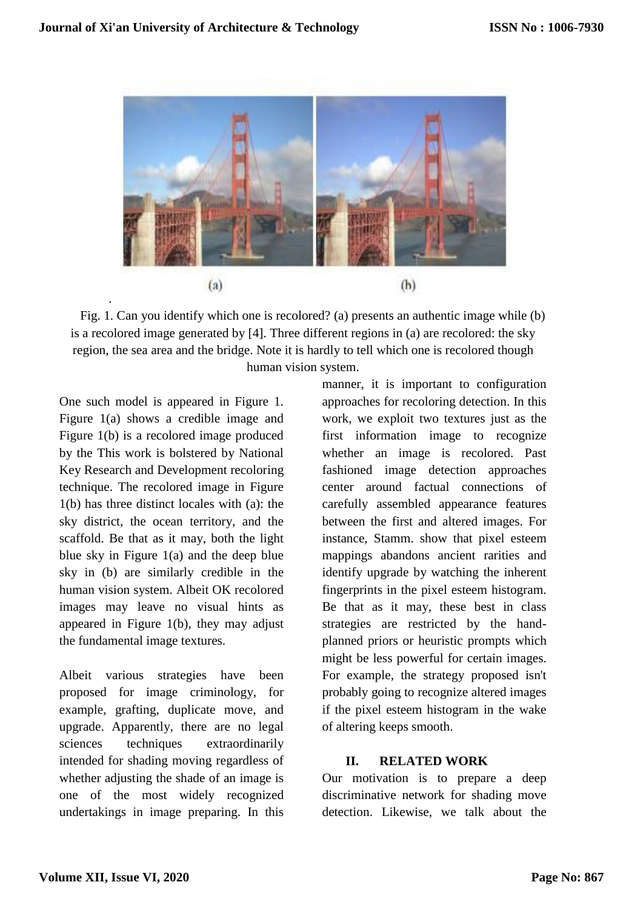

Fig. 1. Can you identify which one is recolored? (a) presents an authentic image while (b) is a recolored image generated by [4]. Three different regions in (a) are recolored: the sky region, the sea area and the bridge. Note it is hardly to tell which one is recolored though human vision system.

One such model is appeared in Figure 1. Figure 1(a) shows a credible image and Figure 1(b) is a recolored image produced by the This work is bolstered by National Key Research and Development recoloring technique. The recolored image in Figure 1(b) has three distinct locales with (a): the sky district, the ocean territory, and the scaffold. Be that as it may, both the light blue sky in Figure 1(a) and the deep blue sky in (b) are similarly credible in the human vision system. Albeit OK recolored images may leave no visual hints as appeared in Figure 1(b), they may adjust the fundamental image textures.

Albeit various strategies have been proposed for image criminology, for example, grafting, duplicate move, and upgrade. Apparently, there are no legal sciences techniques extraordinarily intended for shading moving regardless of whether adjusting the shade of an image is one of the most widely recognized undertakings in image preparing. In this manner, it is important to configuration approaches for recoloring detection. In this work, we exploit two textures just as the first information image to recognize whether an image is recolored. Past fashioned image detection approaches center around factual connections of carefully assembled appearance features between the first and altered images. For instance, Stamm. show that pixel esteem mappings abandons ancient rarities and identify upgrade by watching the inherent fingerprints in the pixel esteem histogram. Be that as it may, these best in class strategies are restricted by the handplanned priors or heuristic prompts which might be less powerful for certain images. For example, the strategy proposed isn't probably going to recognize altered images if the pixel esteem histogram in the wake of altering keeps smooth.

#### **II. RELATED WORK**

Our motivation is to prepare a deep discriminative network for shading move detection. Likewise, we talk about the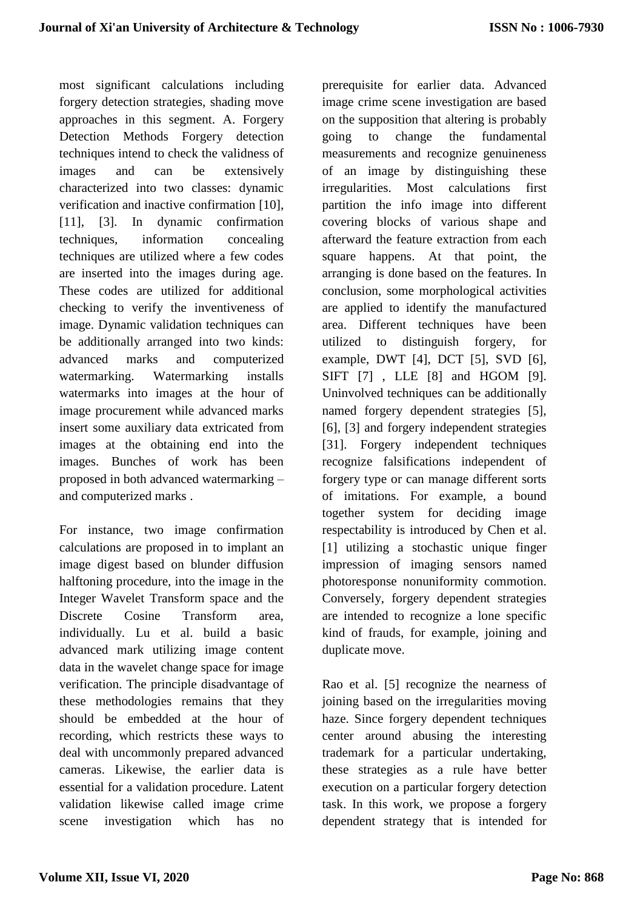most significant calculations including forgery detection strategies, shading move approaches in this segment. A. Forgery Detection Methods Forgery detection techniques intend to check the validness of images and can be extensively characterized into two classes: dynamic verification and inactive confirmation [10], [11], [3]. In dynamic confirmation techniques, information concealing techniques are utilized where a few codes are inserted into the images during age. These codes are utilized for additional checking to verify the inventiveness of image. Dynamic validation techniques can be additionally arranged into two kinds: advanced marks and computerized watermarking. Watermarking installs watermarks into images at the hour of image procurement while advanced marks insert some auxiliary data extricated from images at the obtaining end into the images. Bunches of work has been proposed in both advanced watermarking – and computerized marks .

For instance, two image confirmation calculations are proposed in to implant an image digest based on blunder diffusion halftoning procedure, into the image in the Integer Wavelet Transform space and the Discrete Cosine Transform area, individually. Lu et al. build a basic advanced mark utilizing image content data in the wavelet change space for image verification. The principle disadvantage of these methodologies remains that they should be embedded at the hour of recording, which restricts these ways to deal with uncommonly prepared advanced cameras. Likewise, the earlier data is essential for a validation procedure. Latent validation likewise called image crime scene investigation which has no prerequisite for earlier data. Advanced image crime scene investigation are based on the supposition that altering is probably going to change the fundamental measurements and recognize genuineness of an image by distinguishing these irregularities. Most calculations first partition the info image into different covering blocks of various shape and afterward the feature extraction from each square happens. At that point, the arranging is done based on the features. In conclusion, some morphological activities are applied to identify the manufactured area. Different techniques have been utilized to distinguish forgery, for example, DWT [4], DCT [5], SVD [6], SIFT [7] , LLE [8] and HGOM [9]. Uninvolved techniques can be additionally named forgery dependent strategies [5], [6], [3] and forgery independent strategies [31]. Forgery independent techniques recognize falsifications independent of forgery type or can manage different sorts of imitations. For example, a bound together system for deciding image respectability is introduced by Chen et al. [1] utilizing a stochastic unique finger impression of imaging sensors named photoresponse nonuniformity commotion. Conversely, forgery dependent strategies are intended to recognize a lone specific kind of frauds, for example, joining and duplicate move.

Rao et al. [5] recognize the nearness of joining based on the irregularities moving haze. Since forgery dependent techniques center around abusing the interesting trademark for a particular undertaking, these strategies as a rule have better execution on a particular forgery detection task. In this work, we propose a forgery dependent strategy that is intended for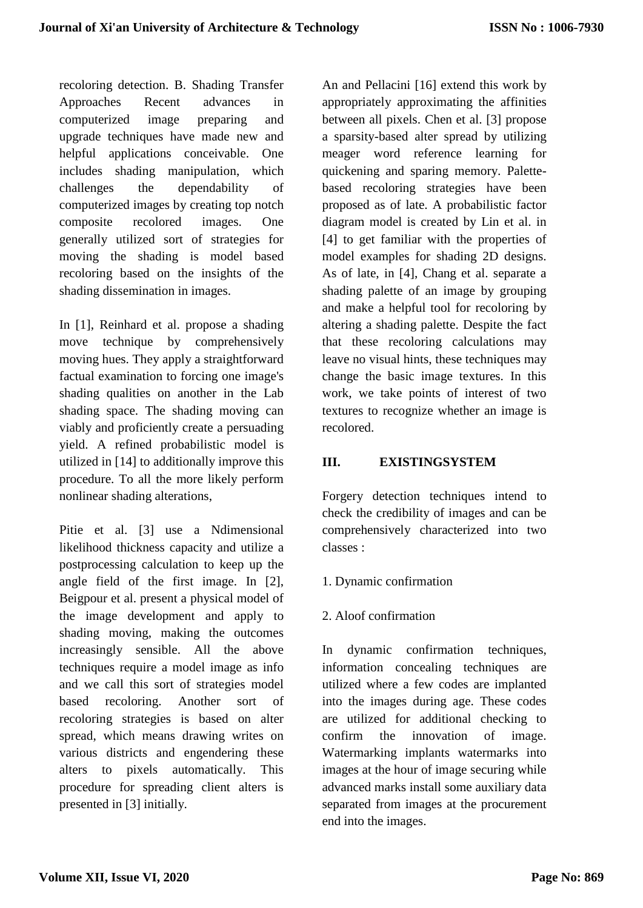recoloring detection. B. Shading Transfer Approaches Recent advances in computerized image preparing and upgrade techniques have made new and helpful applications conceivable. One includes shading manipulation, which challenges the dependability of computerized images by creating top notch composite recolored images. One generally utilized sort of strategies for moving the shading is model based recoloring based on the insights of the shading dissemination in images.

In [1], Reinhard et al. propose a shading move technique by comprehensively moving hues. They apply a straightforward factual examination to forcing one image's shading qualities on another in the Lab shading space. The shading moving can viably and proficiently create a persuading yield. A refined probabilistic model is utilized in [14] to additionally improve this procedure. To all the more likely perform nonlinear shading alterations,

Pitie et al. [3] use a Ndimensional likelihood thickness capacity and utilize a postprocessing calculation to keep up the angle field of the first image. In [2], Beigpour et al. present a physical model of the image development and apply to shading moving, making the outcomes increasingly sensible. All the above techniques require a model image as info and we call this sort of strategies model based recoloring. Another sort of recoloring strategies is based on alter spread, which means drawing writes on various districts and engendering these alters to pixels automatically. This procedure for spreading client alters is presented in [3] initially.

An and Pellacini [16] extend this work by appropriately approximating the affinities between all pixels. Chen et al. [3] propose a sparsity-based alter spread by utilizing meager word reference learning for quickening and sparing memory. Palettebased recoloring strategies have been proposed as of late. A probabilistic factor diagram model is created by Lin et al. in [4] to get familiar with the properties of model examples for shading 2D designs. As of late, in [4], Chang et al. separate a shading palette of an image by grouping and make a helpful tool for recoloring by altering a shading palette. Despite the fact that these recoloring calculations may leave no visual hints, these techniques may change the basic image textures. In this work, we take points of interest of two textures to recognize whether an image is recolored.

## **III. EXISTINGSYSTEM**

Forgery detection techniques intend to check the credibility of images and can be comprehensively characterized into two classes :

## 1. Dynamic confirmation

## 2. Aloof confirmation

In dynamic confirmation techniques, information concealing techniques are utilized where a few codes are implanted into the images during age. These codes are utilized for additional checking to confirm the innovation of image. Watermarking implants watermarks into images at the hour of image securing while advanced marks install some auxiliary data separated from images at the procurement end into the images.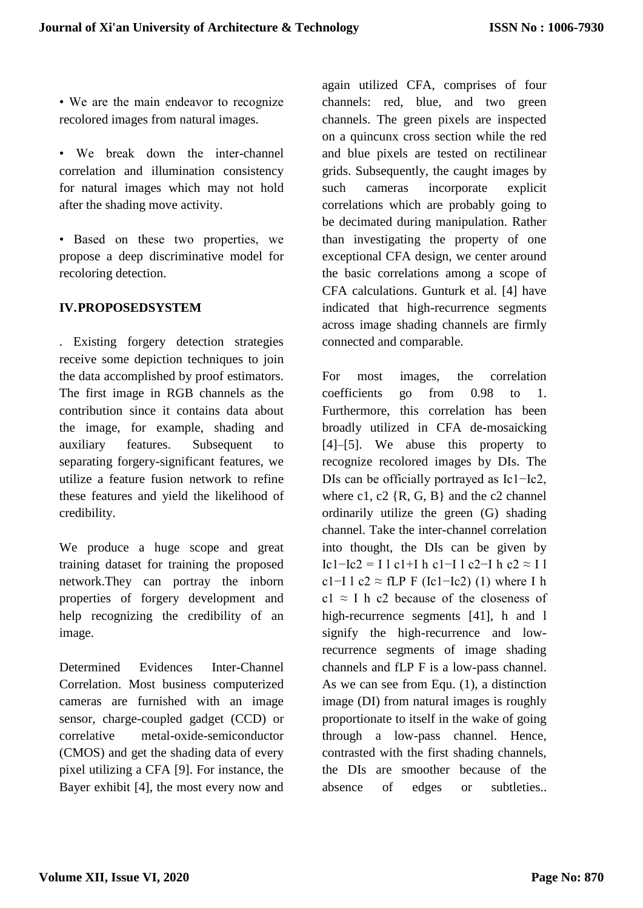• We are the main endeavor to recognize recolored images from natural images.

- We break down the inter-channel correlation and illumination consistency for natural images which may not hold after the shading move activity.
- Based on these two properties, we propose a deep discriminative model for recoloring detection.

## **IV.PROPOSEDSYSTEM**

. Existing forgery detection strategies receive some depiction techniques to join the data accomplished by proof estimators. The first image in RGB channels as the contribution since it contains data about the image, for example, shading and auxiliary features. Subsequent to separating forgery-significant features, we utilize a feature fusion network to refine these features and yield the likelihood of credibility.

We produce a huge scope and great training dataset for training the proposed network.They can portray the inborn properties of forgery development and help recognizing the credibility of an image.

Determined Evidences Inter-Channel Correlation. Most business computerized cameras are furnished with an image sensor, charge-coupled gadget (CCD) or correlative metal-oxide-semiconductor (CMOS) and get the shading data of every pixel utilizing a CFA [9]. For instance, the Bayer exhibit [4], the most every now and again utilized CFA, comprises of four channels: red, blue, and two green channels. The green pixels are inspected on a quincunx cross section while the red and blue pixels are tested on rectilinear grids. Subsequently, the caught images by such cameras incorporate explicit correlations which are probably going to be decimated during manipulation. Rather than investigating the property of one exceptional CFA design, we center around the basic correlations among a scope of CFA calculations. Gunturk et al. [4] have indicated that high-recurrence segments across image shading channels are firmly connected and comparable.

For most images, the correlation coefficients go from 0.98 to 1. Furthermore, this correlation has been broadly utilized in CFA de-mosaicking [4]–[5]. We abuse this property to recognize recolored images by DIs. The DIs can be officially portrayed as Ic1−Ic2, where c1, c2  $\{R, G, B\}$  and the c2 channel ordinarily utilize the green (G) shading channel. Take the inter-channel correlation into thought, the DIs can be given by Ic1−Ic2 = I l c1+I h c1−I l c2−I h c2  $\approx$  I l c1−I l c2  $\approx$  fLP F (Ic1−Ic2) (1) where I h c1  $\approx$  I h c2 because of the closeness of high-recurrence segments [41], h and l signify the high-recurrence and lowrecurrence segments of image shading channels and fLP F is a low-pass channel. As we can see from Equ. (1), a distinction image (DI) from natural images is roughly proportionate to itself in the wake of going through a low-pass channel. Hence, contrasted with the first shading channels, the DIs are smoother because of the absence of edges or subtleties..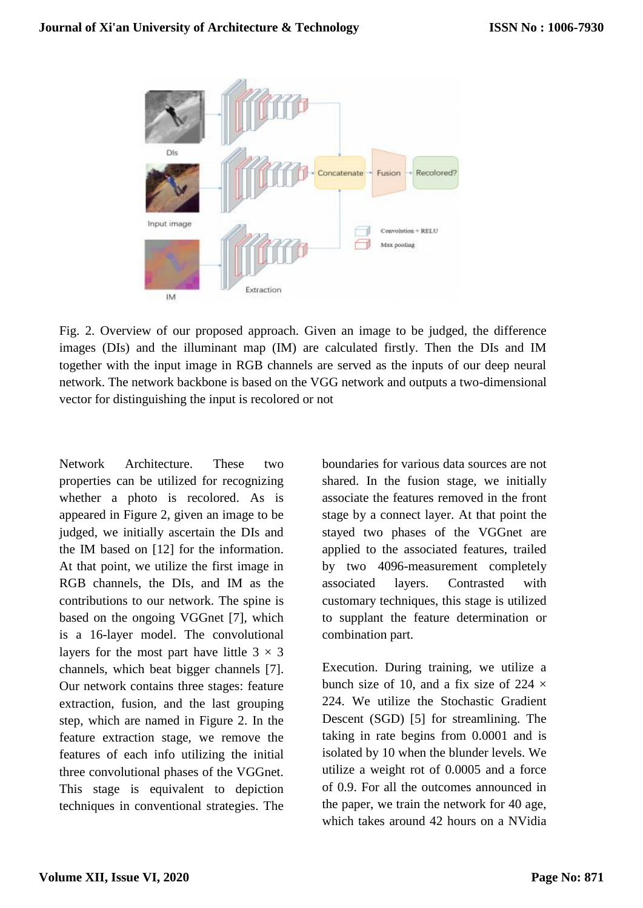

Fig. 2. Overview of our proposed approach. Given an image to be judged, the difference images (DIs) and the illuminant map (IM) are calculated firstly. Then the DIs and IM together with the input image in RGB channels are served as the inputs of our deep neural network. The network backbone is based on the VGG network and outputs a two-dimensional vector for distinguishing the input is recolored or not

Network Architecture. These two properties can be utilized for recognizing whether a photo is recolored. As is appeared in Figure 2, given an image to be judged, we initially ascertain the DIs and the IM based on [12] for the information. At that point, we utilize the first image in RGB channels, the DIs, and IM as the contributions to our network. The spine is based on the ongoing VGGnet [7], which is a 16-layer model. The convolutional layers for the most part have little  $3 \times 3$ channels, which beat bigger channels [7]. Our network contains three stages: feature extraction, fusion, and the last grouping step, which are named in Figure 2. In the feature extraction stage, we remove the features of each info utilizing the initial three convolutional phases of the VGGnet. This stage is equivalent to depiction techniques in conventional strategies. The boundaries for various data sources are not shared. In the fusion stage, we initially associate the features removed in the front stage by a connect layer. At that point the stayed two phases of the VGGnet are applied to the associated features, trailed by two 4096-measurement completely associated layers. Contrasted with customary techniques, this stage is utilized to supplant the feature determination or combination part.

Execution. During training, we utilize a bunch size of 10, and a fix size of 224  $\times$ 224. We utilize the Stochastic Gradient Descent (SGD) [5] for streamlining. The taking in rate begins from 0.0001 and is isolated by 10 when the blunder levels. We utilize a weight rot of 0.0005 and a force of 0.9. For all the outcomes announced in the paper, we train the network for 40 age, which takes around 42 hours on a NVidia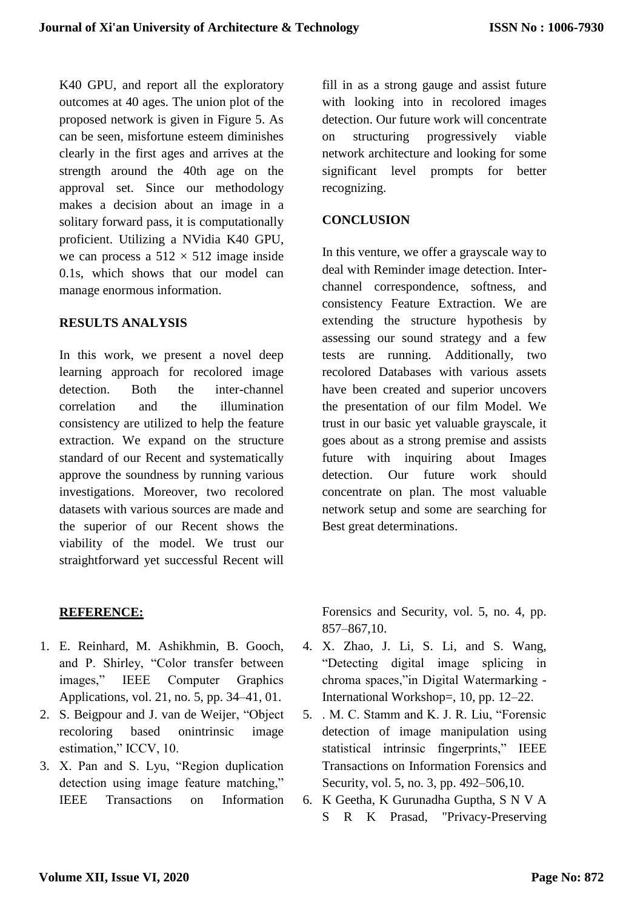K40 GPU, and report all the exploratory outcomes at 40 ages. The union plot of the proposed network is given in Figure 5. As can be seen, misfortune esteem diminishes clearly in the first ages and arrives at the strength around the 40th age on the approval set. Since our methodology makes a decision about an image in a solitary forward pass, it is computationally proficient. Utilizing a NVidia K40 GPU, we can process a  $512 \times 512$  image inside 0.1s, which shows that our model can manage enormous information.

#### **RESULTS ANALYSIS**

In this work, we present a novel deep learning approach for recolored image detection. Both the inter-channel correlation and the illumination consistency are utilized to help the feature extraction. We expand on the structure standard of our Recent and systematically approve the soundness by running various investigations. Moreover, two recolored datasets with various sources are made and the superior of our Recent shows the viability of the model. We trust our straightforward yet successful Recent will fill in as a strong gauge and assist future with looking into in recolored images detection. Our future work will concentrate on structuring progressively viable network architecture and looking for some significant level prompts for better recognizing.

## **CONCLUSION**

In this venture, we offer a grayscale way to deal with Reminder image detection. Interchannel correspondence, softness, and consistency Feature Extraction. We are extending the structure hypothesis by assessing our sound strategy and a few tests are running. Additionally, two recolored Databases with various assets have been created and superior uncovers the presentation of our film Model. We trust in our basic yet valuable grayscale, it goes about as a strong premise and assists future with inquiring about Images detection. Our future work should concentrate on plan. The most valuable network setup and some are searching for Best great determinations.

## **REFERENCE:**

- 1. E. Reinhard, M. Ashikhmin, B. Gooch, and P. Shirley, "Color transfer between images," IEEE Computer Graphics Applications, vol. 21, no. 5, pp. 34–41, 01.
- 2. S. Beigpour and J. van de Weijer, "Object recoloring based onintrinsic image estimation," ICCV, 10.
- 3. X. Pan and S. Lyu, "Region duplication detection using image feature matching," IEEE Transactions on Information

Forensics and Security, vol. 5, no. 4, pp. 857–867,10.

- 4. X. Zhao, J. Li, S. Li, and S. Wang, "Detecting digital image splicing in chroma spaces,"in Digital Watermarking - International Workshop=, 10, pp. 12–22.
- 5. . M. C. Stamm and K. J. R. Liu, "Forensic detection of image manipulation using statistical intrinsic fingerprints," IEEE Transactions on Information Forensics and Security, vol. 5, no. 3, pp. 492–506,10.
- 6. K Geetha, K Gurunadha Guptha, S N V A S R K Prasad, "Privacy-Preserving